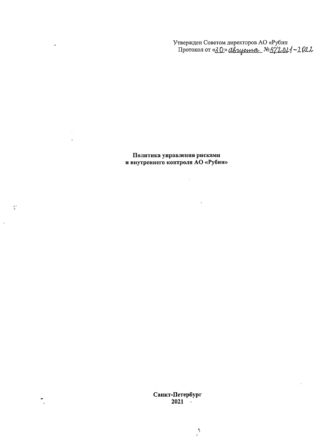Утвержден Советом директоров АО «Рубин<br>Протокол от «<u>30» двиденная</u> №5/2021~2022

Политика управления рисками<br>и внутреннего контроля АО «Рубин»

 $\hat{\mathcal{A}}$ 

 $\sim 10^{-10}$ 

 $\mathcal{L}_{\text{max}}$  .

 $\mathcal{A}_{\mathbf{q}}^{(n)}$  and  $\mathcal{A}_{\mathbf{q}}^{(n)}$ 

 $\ddot{\phantom{0}}$ 

 $\ddot{\phantom{a}}$  $\frac{1}{\lambda}$ 

 $\frac{1}{2}$  .

 $\mathbb{R}^2$ 

Санкт-Петербург<br>2021

 $\sum_{j=1}^{n}$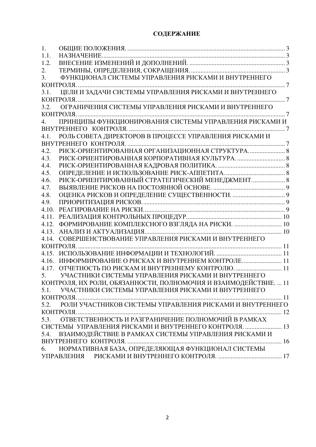# СОДЕРЖАНИЕ

| 1.               |                                                                  |  |
|------------------|------------------------------------------------------------------|--|
| 1.1.             |                                                                  |  |
| 1.2.             |                                                                  |  |
| 2.               |                                                                  |  |
| 3.               | ФУНКЦИОНАЛ СИСТЕМЫ УПРАВЛЕНИЯ РИСКАМИ И ВНУТРЕННЕГО              |  |
|                  | КОНТРОЛЯ.<br>. 7                                                 |  |
| 3.1.             | ЦЕЛИ И ЗАДАЧИ СИСТЕМЫ УПРАВЛЕНИЯ РИСКАМИ И ВНУТРЕННЕГО           |  |
|                  |                                                                  |  |
|                  |                                                                  |  |
|                  | КОНТРОЛЯ.                                                        |  |
| $\overline{4}$ . | ПРИНЦИПЫ ФУНКЦИОНИРОВАНИЯ СИСТЕМЫ УПРАВЛЕНИЯ РИСКАМИ И           |  |
|                  |                                                                  |  |
| 4.1.             | РОЛЬ СОВЕТА ДИРЕКТОРОВ В ПРОЦЕССЕ УПРАВЛЕНИЯ РИСКАМИ И           |  |
|                  |                                                                  |  |
| 4.2.             |                                                                  |  |
| 4.3.             |                                                                  |  |
| 4.4.             |                                                                  |  |
| 4.5.             |                                                                  |  |
| 4.6.             |                                                                  |  |
| 4.7.             |                                                                  |  |
| 4.8.             |                                                                  |  |
| 4.9.             |                                                                  |  |
| 4.10.            |                                                                  |  |
| 4.11.            |                                                                  |  |
| 4.12.            | ФОРМИРОВАНИЕ КОМПЛЕКСНОГО ВЗГЛЯДА НА РИСКИ.  10                  |  |
| 4.13.            |                                                                  |  |
| 4.14.            | СОВЕРШЕНСТВОВАНИЕ УПРАВЛЕНИЯ РИСКАМИ И ВНУТРЕННЕГО               |  |
|                  |                                                                  |  |
|                  |                                                                  |  |
| 4.16.            | ИНФОРМИРОВАНИЕ О РИСКАХ И ВНУТРЕННЕМ КОНТРОЛЕ 11                 |  |
| 4.17.            |                                                                  |  |
| 5.               | УЧАСТНИКИ СИСТЕМЫ УПРАВЛЕНИЯ РИСКАМИ И ВНУТРЕННЕГО               |  |
|                  | КОНТРОЛЯ, ИХ РОЛИ, ОБЯЗАННОСТИ, ПОЛНОМОЧИЯ И ВЗАИМОДЕЙСТВИЕ.  11 |  |
| 5.1.             | УЧАСТНИКИ СИСТЕМЫ УПРАВЛЕНИЯ РИСКАМИ И ВНУТРЕННЕГО               |  |
|                  |                                                                  |  |
| 5.2.             | РОЛИ УЧАСТНИКОВ СИСТЕМЫ УПРАВЛЕНИЯ РИСКАМИ И ВНУТРЕННЕГО         |  |
|                  |                                                                  |  |
| 5.3.             | ОТВЕТСТВЕННОСТЬ И РАЗГРАНИЧЕНИЕ ПОЛНОМОЧИЙ В РАМКАХ              |  |
|                  | СИСТЕМЫ УПРАВЛЕНИЯ РИСКАМИ И ВНУТРЕННЕГО КОНТРОЛЯ.  13           |  |
| 5.4.             | ВЗАИМОДЕЙСТВИЕ В РАМКАХ СИСТЕМЫ УПРАВЛЕНИЯ РИСКАМИ И             |  |
|                  |                                                                  |  |
| 6.               | НОРМАТИВНАЯ БАЗА, ОПРЕДЕЛЯЮЩАЯ ФУНКЦИОНАЛ СИСТЕМЫ                |  |
|                  | УПРАВЛЕНИЯ                                                       |  |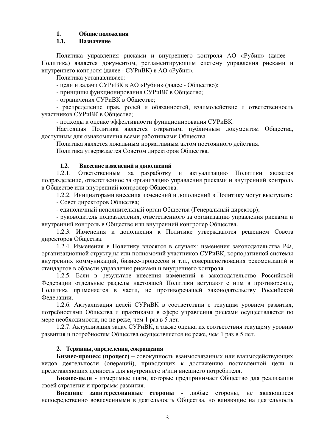# <span id="page-2-0"></span>1. **Общие положения**

# 1.1. **Назначение**

<span id="page-2-1"></span>Политика управления рисками и внутреннего контроля АО «Рубин» (далее – Политика) является документом, регламентирующим систему управления рисками и внутреннего контроля (далее - СУРиВК) в АО «Рубин».

Политика устанавливает:

- цели и задачи СУРиВК в АО «Рубин» (далее - Общество);

- принципы функционирования СУРиВК в Обществе;

- ограничения СУРиВК в Обществе;

- распределение прав, ролей и обязанностей, взаимодействие и ответственность vчастников СУРиВК в Обществе:

- подходы к оценке эффективности функционирования СУРиВК.

Настоящая Политика является открытым, публичным документом Общества, доступным для ознакомления всеми работниками Общества.

Политика является локальным нормативным актом постоянного действия.

Политика утверждается Советом директоров Общества.

# 1.2. Внесение изменений и лополнений

<span id="page-2-2"></span>1.2.1. Ответственным за разработку и актуализацию Политики является подразделение, ответственное за организацию управления рисками и внутренний контроль в Обществе или внутренний контролер Общества.

1.2.2. Инициаторами внесения изменений и дополнений в Политику могут выступать:

- Совет лиректоров Общества:

- единоличный исполнительный орган Общества (Генеральный директор);

- руководитель подразделения, ответственного за организацию управления рисками и внутренний контроль в Обществе или внутренний контролер Общества.

1.2.3. Изменения и дополнения к Политике утверждаются решением Совета директоров Общества.

1.2.4. Изменения в Политику вносятся в случаях: изменения законодательства РФ, организационной структуры или полномочий участников СУРиВК, корпоративной системы внутренних коммуникаций, бизнес-процессов и т.п., совершенствования рекомендаций и стандартов в области управления рисками и внутреннего контроля

1.2.5. Если в результате внесения изменений в законодательство Российской Федерации отдельные разделы настоящей Политики вступают с ним в противоречие, Политика применяется в части, не противоречащей законодательству Российской Федерации.

1.2.6. Актуализация целей СУРиВК в соответствии с текущим уровнем развития, потребностями Общества и практиками в сфере управления рисками осуществляется по мере необходимости, но не реже, чем 1 раз в 5 лет.

1.2.7. Актуализация задач СУРиВК, а также оценка их соответствия текущему уровню развития и потребностям Общества осуществляется не реже, чем 1 раз в 5 лет.

# 2. Термины, определения, сокращения

<span id="page-2-3"></span>**Бизнес-процесс (процесс) – совокупность взаимосвязанных или взаимодействующих** видов деятельности (операций), приводящих к достижению поставленной цели и представляющих ценность для внутреннего и/или внешнего потребителя.

**Бизнес-цели -** измеримые шаги, которые предпринимает Общество для реализации своей стратегии и программ развития.

Внешние заинтересованные стороны - любые стороны, не являющиеся непосредственно вовлеченными в деятельность Общества, но влияющие на деятельность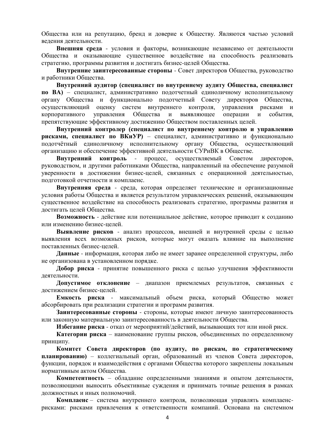Общества или на репутацию, бренд и доверие к Обществу. Являются частью условий ведения деятельности.

Внешняя среда - условия и факторы, возникающие независимо от деятельности Общества и оказывающие существенное воздействие на способность реализовать стратегию, программы развития и достигать бизнес-целей Общества.

**Внутренние заинтересованные стороны** - Совет директоров Общества, руководство и работники Общества.

Внутренний аудитор (специалист по внутреннему аудиту Общества, специалист по ВА) – специалист, административно подотчетный единоличному исполнительному органу Общества и функционально подотчетный Совету директоров Общества, осуществляющий оценку систем внутреннего контроля, управления рисками и корпоративного управления Обшества и выявляющее операции и события. препятствующие эффективному достижению Обществом поставленных целей.

Внутренний контролер (специалист по внутреннему контролю и управлению рисками, специалист по ВКиУР) – специалист, административно и функционально подотчётный единоличному исполнительному органу Общества, осуществляющий организацию и обеспечение эффективной деятельности СУРиВК в Обществе.

Внутренний контроль - процесс, осуществляемый Советом директоров, руководством, и другими работниками Общества, направленный на обеспечение разумной уверенности в достижении бизнес-целей, связанных с операционной деятельностью, подготовкой отчетности и комплаенс.

**Внутренняя среда** - среда, которая определяет технические и организационные условия работы Общества и является результатом управленческих решений, оказывающим существенное воздействие на способность реализовать стратегию, программы развития и достигать целей Общества.

Возможность - действие или потенциальное действие, которое приводит к созданию или изменению бизнес-целей.

Выявление рисков - анализ процессов, внешней и внутренней среды с целью выявления всех возможных рисков, которые могут оказать влияние на выполнение поставленных бизнес-целей.

Данные - информация, которая либо не имеет заранее определенной структуры, либо не организована в установленном порядке.

Добор риска - принятие повышенного риска с целью улучшения эффективности леятельности.

Допустимое отклонение - диапазон приемлемых результатов, связанных с достижением бизнес-целей.

Емкость риска - максимальный объем риска, который Общество может абсорбировать при реализации стратегии и программ развития.

Заинтересованные стороны - стороны, которые имеют личную заинтересованность или законную материальную заинтересованность в деятельности Общества.

Избегание риска - отказ от мероприятий/действий, вызывающих тот или иной риск.

**Категории риска** – наименование группы рисков, объединенных по определенному принципу.

Комитет Совета директоров (по аудиту, по рискам, по стратегическому планированию) – коллегиальный орган, образованный из членов Совета директоров, функции, порядок и взаимодействия с органами Общества которого закреплены локальным нормативным актом Общества.

Компетентность – обладание определенными знаниями и опытом деятельности, позволяющими выносить объективные суждения и принимать точные решения в рамках должностных и иных полномочий.

Комплаенс - система внутреннего контроля, позволяющая управлять комплаенсрисками: рисками привлечения к ответственности компаний. Основана на системном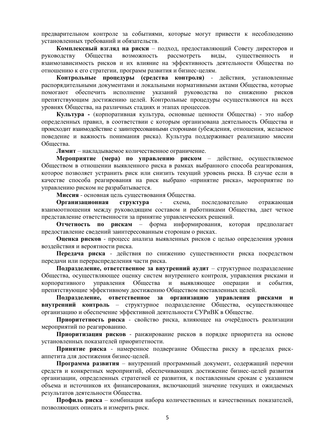предварительном контроле за событиями, которые могут привести к несоблюдению установленных требований и обязательств.

Комплексный взгляд на риски – подход, предоставляющий Совету директоров и руководству Общества возможность рассмотреть виды, существенность и взаимозависимость рисков и их влияние на эффективность деятельности Общества по отношению к его стратегии, программ развития и бизнес-целям.

Контрольные процедуры (средства контроля) - действия, установленные распорядительными документами и локальными нормативными актами Общества, которые помогают обеспечить исполнение указаний руководства по снижению рисков препятствующим достижению целей. Контрольные процедуры осуществляются на всех уровнях Общества, на различных стадиях и этапах процессов.

**Культура** - (корпоративная культура, основные ценности Общества) - это набор определенных правил, в соответствии с которым организована деятельность Общества и происходит взаимодействие с заинтересованными сторонами (убеждения, отношения, желаемое поведение и важность понимания риска). Культура поддерживает реализацию миссии Общества.

Лимит – накладываемое количественное ограничение.

Мероприятие (мера) по управлению риском – действие, осуществляемое Обществом в отношении выявленного риска в рамках выбранного способа реагирования, которое позволяет устранить риск или снизить текущий уровень риска. В случае если в качестве способа реагирования на риск выбрано «принятие риска», мероприятие по управлению риском не разрабатывается.

Миссия - основная цель существования Общества.

**Организационная структура -** схема, последовательно отражающая взаимоотношения между руководящим составом и работниками Общества, дает четкое представление ответственности за принятие управленческих решений.

**Отчетность по рискам** – форма информирования, которая предполагает предоставление сведений заинтересованным сторонам о рисках.

**Оценка рисков** - процесс анализа выявленных рисков с целью определения уровня воздействия и вероятности риска.

Передача риска - действия по снижению существенности риска посредством передачи или перераспределения части риска.

Подразделение, ответственное за внутренний аудит – структурное подразделение Общества, осуществляющее оценку систем внутреннего контроля, управления рисками и корпоративного управления Общества и выявляющее операции и события. препятствующие эффективному достижению Обшеством поставленных целей.

Подразделение, ответственное за организацию управления рисками и **внутренний контроль** – структурное подразделение Общества, осуществляющее организацию и обеспечение эффективной деятельности СУРиВК в Обществе.

Приоритетность риска - свойство риска, влияющее на очерёдность реализации мероприятий по реагированию.

Приоритизация рисков - ранжирование рисков в порядке приоритета на основе установленных показателей приоритетности.

Принятие риска - намеренное подвергание Общества риску в пределах рискаппетита для достижения бизнес-целей.

Программа развития – внутренний программный документ, содержащий перечни средств и конкретных мероприятий, обеспечивающих достижение бизнес-целей развития организации, определенных стратегией ее развития, к поставленным срокам с указанием объема и источников их финансирования, включающий значение текущих и ожидаемых результатов деятельности Общества.

Профиль риска – комбинация набора количественных и качественных показателей, позволяющих описать и измерить риск.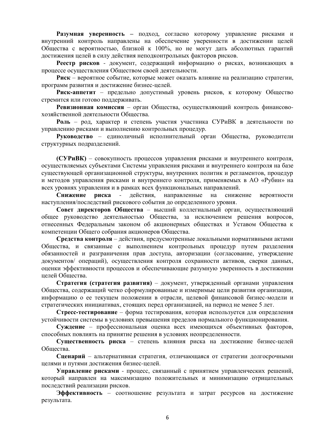Разумная уверенность – подход, согласно которому управление рисками и внутренний контроль направлены на обеспечение уверенности в достижении целей Общества с вероятностью, близкой к 100%, но не могут дать абсолютных гарантий достижения целей в силу действия неподконтрольных факторов рисков.

Реестр рисков - документ, содержащий информацию о рисках, возникающих в процессе осуществления Обществом своей деятельности.

Риск – вероятное событие, которые может оказать влияние на реализацию стратегии, программ развития и достижение бизнес-целей.

Риск-аппетит – предельно допустимый уровень рисков, к которому Общество стремится или готово поддерживать.

Ревизионная комиссия – орган Общества, осуществляющий контроль финансовохозяйственной деятельности Общества.

Роль – род, характер и степень участия участника СУРиВК в деятельности по управлению рисками и выполнению контрольных процедур.

Руководство – единоличный исполнительный орган Общества, руководители структурных подразделений.

**(СУРиВК)** – совокупность процессов управления рисками и внутреннего контроля, осуществляемых субъектами Системы управления рисками и внутреннего контроля на базе существующей организационной структуры, внутренних политик и регламентов, процедур и методов управления рисками и внутреннего контроля, применяемых в АО «Рубин» на всех уровнях управления и в рамках всех функциональных направлений.

Снижение риска - действия, направленные на снижение вероятности наступления/послелствий рискового события до определенного уровня.

Совет директоров Общества – высший коллегиальный орган, осуществляющий общее руководство деятельностью Общества, за исключением решения вопросов, отнесенных Федеральным законом об акционерных обществах и Уставом Общества к компетенции Общего собрания акционеров Общества.

**Средства контроля** – действия, предусмотренные локальными нормативными актами Общества, и связанные с выполнением контрольных процедур путем разделения обязанностей и разграничения прав доступа, авторизации (согласование, утверждение документов/ операций), осуществления контроля сохранности активов, сверки данных, оценки эффективности процессов и обеспечивающие разумную уверенность в достижении целей Общества.

Стратегия (стратегия развития) – документ, утвержденный органами управления Общества, содержащий четко сформулированные и измеримые цели развития организации, информацию о ее текущем положении в отрасли, целевой финансовой бизнес-модели и стратегических инициативах, стоящих перед организацией, на период не менее 5 лет.

**Стресс-тестирование** – форма тестирования, которая используется для определения устойчивости системы в условиях превышения пределов нормального функционирования.

Суждение – профессиональная оценка всех имеющихся объективных факторов, способных повлиять на принятие решения в условиях неопределенности.

Существенность риска – степень влияния риска на достижение бизнес-целей Общества.

Сценарий – альтернативная стратегия, отличающаяся от стратегии долгосрочными целями и путями достижения бизнес-целей.

**Управление рисками** - процесс, связанный с принятием управленческих решений, который направлен на максимизацию положительных и минимизацию отрицательных последствий реализации рисков.

Эффективность – соотношение результата и затрат ресурсов на достижение результата.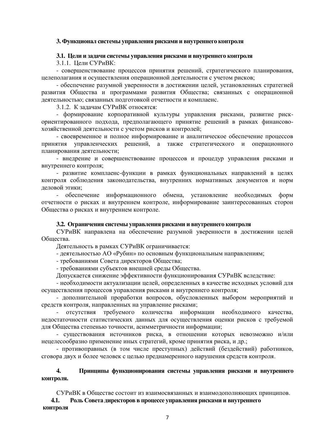### <span id="page-6-0"></span>3. Функционал системы управления рисками и внутреннего контроля

#### 3.1. Цели и задачи системы управления рисками и внутреннего контроля

3.1.1. Цели СУРиВК:

<span id="page-6-1"></span>- совершенствование процессов принятия решений, стратегического планирования, целеполагания и осуществления операционной деятельности с учетом рисков;

- обеспечение разумной уверенности в достижении целей, установленных стратегией развития Общества и программами развития Общества; связанных с операционной деятельностью; связанных подготовкой отчетности и комплаенс.

3.1.2. К задачам СУРиВК относятся:

- формирование корпоративной культуры управления рисками, развитие рискориентированного подхода, предполагающего принятие решений в рамках финансовохозяйственной деятельности с учетом рисков и контролей;

- своевременное и полное информирование и аналитическое обеспечение процессов принятия управленческих решений, а также стратегического и операционного планирования деятельности;

- внедрение и совершенствование процессов и процедур управления рисками и внутреннего контроля:

- развитие комплаенс-функции в рамках функциональных направлений в целях контроля соблюдения законодательства, внутренних нормативных документов и норм деловой этики:

- обеспечение информационного обмена, установление необходимых форм отчетности о рисках и внутреннем контроле, информирование заинтересованных сторон Общества о рисках и внутреннем контроле.

# 3.2. Ограничения системы управления рисками и внутреннего контроля

<span id="page-6-2"></span>СУРиВК направлена на обеспечение разумной уверенности в достижении целей Обшества.

Деятельность в рамках СУРиВК ограничивается:

- деятельностью АО «Рубин» по основным функциональным направлениям;

- требованиями Совета директоров Общества;

- требованиями субъектов внешней среды Общества.

Допускается снижение эффективности функционирования СУРиВК вследствие:

- необходимости актуализации целей, определенных в качестве исходных условий для осуществления процессов управления рисками и внутреннего контроля;

- дополнительной проработки вопросов, обусловленных выбором мероприятий и средств контроля, направленных на управление рисками;

отсутствия требуемого количества информации необходимого качества, недостаточности статистических данных для осуществления оценки рисков с требуемой для Общества степенью точности, асимметричности информации;

- существования источников риска, в отношении которых невозможно и/или нецелесообразно применение иных стратегий, кроме принятия риска, и др.;

- противоправных (в том числе преступных) действий (бездействий) работников, сговора двух и более человек с целью преднамеренного нарушения средств контроля.

# <span id="page-6-3"></span>4. Принципы функционирования системы управления рисками и внутреннего **контроля.**

СУРиВК в Обществе состоит из взаимосвязанных и взаимодополняющих принципов.

<span id="page-6-4"></span>4.1. Роль Совета директоров в процессе управления рисками и внутреннего **контроля**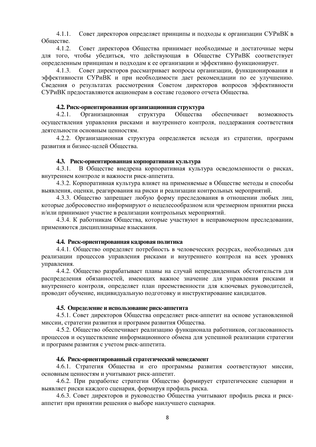4.1.1. Совет директоров определяет принципы и подходы к организации СУРиВК в Oбществе

4.1.2. Совет директоров Общества принимает необходимые и достаточные меры для того, чтобы убедиться, что действующая в Обществе СУРиВК соответствует определенным принципам и подходам к ее организации и эффективно функционирует.

4.1.3. Совет директоров рассматривает вопросы организации, функционирования и эффективности СУРиВК и при необходимости дает рекомендации по ее улучшению. Сведения о результатах рассмотрения Советом директоров вопросов эффективности СУРиВК предоставляются акционерам в составе годового отчета Общества.

### 4.2. Риск-ориентированная организационная структура

<span id="page-7-0"></span>4.2.1. Организационная структура Общества обеспечивает возможность осуществления управления рисками и внутреннего контроля, поддержания соответствия деятельности основным ценностям.

4.2.2. Организационная структура определяется исходя из стратегии, программ развития и бизнес-целей Общества.

### 4.3. Риск-ориентированная корпоративная культура

<span id="page-7-1"></span>4.3.1. В Обществе внедрена корпоративная культура осведомленности о рисках, внутреннем контроле и важности риск-аппетита.

4.3.2. Корпоративная культура влияет на применяемые в Обществе методы и способы выявления, оценки, реагирования на риски и реализации контрольных мероприятий.

4.3.3. Общество запрещает любую форму преследования в отношении любых лиц, которые добросовестно информируют о нецелесообразном или чрезмерном принятии риска и/или принимают участие в реализации контрольных мероприятий.

4.3.4. К работникам Общества, которые участвуют в неправомерном преследовании, применяются дисциплинарные взыскания.

### 4.4. Риск-ориентированная кадровая политика

<span id="page-7-2"></span>4.4.1. Общество определяет потребность в человеческих ресурсах, необходимых для реализации процессов управления рисками и внутреннего контроля на всех уровнях управления.

4.4.2. Общество разрабатывает планы на случай непредвиденных обстоятельств для распределения обязанностей, имеющих важное значение для управления рисками и внутреннего контроля, определяет план преемственности для ключевых руководителей, проводит обучение, индивидуальную подготовку и инструктирование кандидатов.

# 4.5. Определение и использование риск-аппетита

<span id="page-7-3"></span>4.5.1. Совет директоров Общества определяет риск-аппетит на основе установленной миссии, стратегии развития и программ развития Общества.

4.5.2. Общество обеспечивает реализацию функционала работников, согласованность процессов и осуществление информационного обмена для успешной реализации стратегии и программ развития с учетом риск-аппетита.

### 4.6. Риск-ориентированный стратегический менеджмент

<span id="page-7-4"></span>4.6.1. Стратегия Общества и его программы развития соответствуют миссии, основным ценностям и учитывают риск-аппетит.

4.6.2. При разработке стратегии Общество формирует стратегические сценарии и выявляет риски каждого сценария, формируя профиль риска.

4.6.3. Совет директоров и руководство Общества учитывают профиль риска и рискаппетит при принятии решения о выборе наилучшего сценария.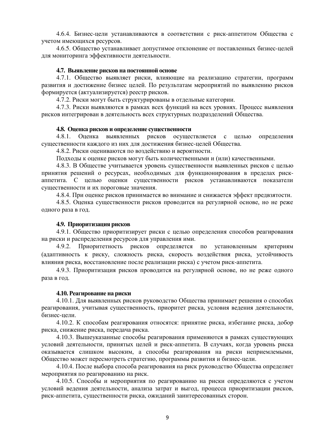4.6.4. Бизнес-цели устанавливаются в соответствии с риск-аппетитом Общества с учетом имеющихся ресурсов.

<span id="page-8-0"></span>4.6.5. Общество устанавливает допустимое отклонение от поставленных бизнес-целей для мониторинга эффективности деятельности.

### 4.7. Выявление рисков на постоянной основе

4.7.1. Общество выявляет риски, влияющие на реализацию стратегии, программ развития и достижение бизнес целей. По результатам мероприятий по выявлению рисков формируется (актуализируется) реестр рисков.

4.7.2. Риски могут быть структурированы в отдельные категории.

4.7.3. Риски выявляются в рамках всех функций на всех уровнях. Процесс выявления рисков интегрирован в деятельность всех структурных подразделений Обшества.

#### 4.8. Оценка рисков и определение существенности

<span id="page-8-1"></span>4.8.1. Оценка выявленных рисков осуществляется с целью определения существенности каждого из них для достижения бизнес-целей Общества.

4.8.2. Риски оцениваются по воздействию и вероятности.

Подходы к оценке рисков могут быть количественными и (или) качественными.

4.8.3. В Обществе учитывается уровень существенности выявленных рисков с целью принятия решений о ресурсах, необходимых для функционирования в пределах рискаппетита. С целью оценки существенности рисков устанавливаются показатели существенности и их пороговые значения.

4.8.4. При оценке рисков принимается во внимание и снижается эффект предвзятости.

4.8.5. Оценка существенности рисков проводится на регулярной основе, но не реже одного раза в год.

#### **4.9. Приоритизация рисков**

<span id="page-8-2"></span>4.9.1. Общество приоритизирует риски с целью определения способов реагирования на риски и распределения ресурсов для управления ими.

4.9.2. Приоритетность рисков определяется по установленным критериям (адаптивность к риску, сложность риска, скорость воздействия риска, устойчивость влияния риска, восстановление после реализации риска) с учетом риск-аппетита.

4.9.3. Приоритизация рисков проводится на регулярной основе, но не реже одного раза в год.

#### **4.10. Реагирование на риски**

<span id="page-8-3"></span>4.10.1. Для выявленных рисков руководство Общества принимает решения о способах реагирования, учитывая существенность, приоритет риска, условия ведения деятельности, бизнес-цели.

4.10.2. К способам реагирования относятся: принятие риска, избегание риска, добор риска, снижение риска, передача риска.

4.10.3. Вышеуказанные способы реагирования применяются в рамках существующих условий деятельности, принятых целей и риск-аппетита. В случаях, когда уровень риска оказывается слишком высоким, а способы реагирования на риски неприемлемыми, Общество может пересмотреть стратегию, программы развития и бизнес-цели.

4.10.4. После выбора способа реагирования на риск руководство Общества определяет мероприятия по реагированию на риск.

4.10.5. Способы и мероприятия по реагированию на риски определяются с учетом условий ведения деятельности, анализа затрат и выгод, процесса приоритизации рисков, риск-аппетита, существенности риска, ожиданий заинтересованных сторон.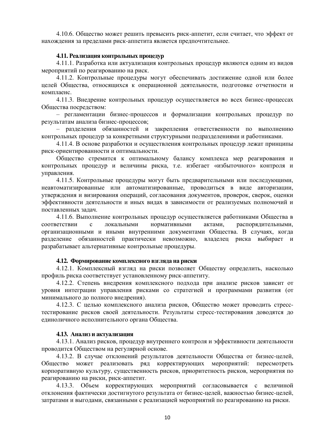4.10.6. Общество может решить превысить риск-аппетит, если считает, что эффект от нахождения за пределами риск-аппетита является предпочтительнее.

### 4.11. Реализация контрольных процедур

<span id="page-9-0"></span>4.11.1. Разработка или актуализация контрольных процедур являются одним из видов мероприятий по реагированию на риск.

4.11.2. Контрольные процедуры могут обеспечивать достижение одной или более целей Общества, относящихся к операционной деятельности, подготовке отчетности и комплаенс.

4.11.3. Внедрение контрольных процедур осуществляется во всех бизнес-процессах Общества посредством:

 $-$  регламентации бизнес-процессов и формализации контрольных процедур по результатам анализа бизнес-процессов;

разделения обязанностей и закрепления ответственности по выполнению контрольных процедур за конкретными структурными подразделениями и работниками.

4.11.4. В основе разработки и осуществления контрольных процедур лежат принципы риск-ориентированности и оптимальности.

Общество стремится к оптимальному балансу комплекса мер реагирования и контрольных процелур и величины риска, т.е. избегает «избыточного» контроля и управления.

4.11.5. Контрольные процедуры могут быть предварительными или последующими, неавтоматизированные или автоматизированные, проводиться в виде авторизации, утверждения и визирования операций, согласования документов, проверок, сверок, оценки эффективности деятельности и иных вилах в зависимости от реализуемых полномочий и поставленных задач.

4.11.6. Выполнение контрольных процедур осуществляется работниками Общества в соответствии с локальными нормативными актами, распорядительными, организационными и иными внутренними документами Общества. В случаях, когда разделение обязанностей практически невозможно, владелец риска выбирает и разрабатывает альтернативные контрольные процедуры.

#### 4.12. Формирование комплексного взгляда на риски

<span id="page-9-1"></span>4.12.1. Комплексный взгляд на риски позволяет Обществу определить, насколько профиль риска соответствует установленному риск-аппетиту.

4.12.2. Степень внедрения комплексного подхода при анализе рисков зависит от уровня интеграции управления рисками со стратегией и программами развития (от минимального до полного внедрения).

4.12.3. С целью комплексного анализа рисков, Общество может проводить стресстестирование рисков своей деятельности. Результаты стресс-тестирования доводятся до единоличного исполнительного органа Общества.

### **4.13. Анализ и актуализация**

<span id="page-9-2"></span>4.13.1. Анализ рисков, процедур внутреннего контроля и эффективности деятельности проводится Обществом на регулярной основе.

4.13.2. В случае отклонений результатов деятельности Общества от бизнес-целей, Общество может реализовать ряд корректирующих мероприятий: пересмотреть корпоративную культуру, существенность рисков, приоритетность рисков, мероприятия по реагированию на риски, риск-аппетит.

4.13.3. Объем корректирующих мероприятий согласовывается с величиной отклонения фактически достигнутого результата от бизнес-целей, важностью бизнес-целей, затратами и выгодами, связанными с реализацией мероприятий по реагированию на риски.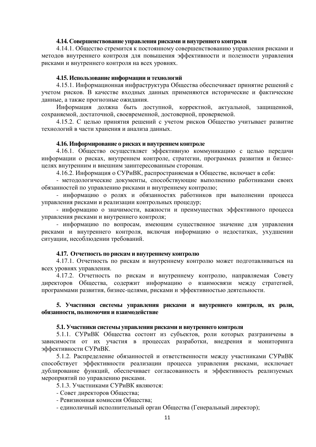### 4.14. Совершенствование управления рисками и внутреннего контроля

<span id="page-10-0"></span>4.14.1. Общество стремится к постоянному совершенствованию управления рисками и методов внутреннего контроля для повышения эффективности и полезности управления рисками и внутреннего контроля на всех уровнях.

### 4.15. Использование информации и технологий

<span id="page-10-1"></span>4.15.1. Информационная инфраструктура Общества обеспечивает принятие решений с учетом рисков. В качестве входных данных применяются исторические и фактические данные, а также прогнозные ожидания.

Информация должна быть доступной, корректной, актуальной, защищенной, сохраняемой, лостаточной, своевременной, лостоверной, проверяемой,

4.15.2. С целью принятия решений с учетом рисков Общество учитывает развитие технологий в части хранения и анализа данных.

### **4.16. Информирование о рисках и внутреннем контроле**

<span id="page-10-2"></span>4.16.1. Общество осуществляет эффективную коммуникацию с целью передачи информации о рисках, внутреннем контроле, стратегии, программах развития и бизнесцелях внутренним и внешним заинтересованным сторонам.

4.16.2. Информация о СУРиВК, распространяемая в Обществе, включает в себя:

- методологические документы, способствующие выполнению работниками своих обязанностей по управлению рисками и внутреннему контролю;

- информацию о ролях и обязанностях работников при выполнении процесса управления рисками и реализации контрольных процедур;

- информацию о значимости, важности и преимуществах эффективного процесса управления рисками и внутреннего контроля;

- информацию по вопросам, имеющим существенное значение для управления рисками и внутреннего контроля, включая информацию о недостатках, ухудшении ситуации, несоблюдении требований.

# 4.17. Отчетность по рискам и внутреннему контролю

<span id="page-10-3"></span>4.17.1. Отчетность по рискам и внутреннему контролю может подготавливаться на всех уровнях управления.

4.17.2. Отчетность по рискам и внутреннему контролю, направляемая Совету директоров Общества, содержит информацию о взаимосвязи между стратегией, программами развития, бизнес-целями, рисками и эффективностью деятельности.

# <span id="page-10-4"></span>5. Участники системы управления рисками и внутреннего контроля, их роли,  $\overline{6}$ язанности, полномочия и взаимодействие

#### 5.1. Участники системы управления рисками и внутреннего контроля

<span id="page-10-5"></span>5.1.1. СУРиВК Общества состоит из субъектов, роли которых разграничены в зависимости от их участия в процессах разработки, внедрения и мониторинга эффективности СУРиВК.

5.1.2. Распределение обязанностей и ответственности между участниками СУРиВК способствует эффективности реализации процесса управления рисками, исключает дублирование функций, обеспечивает согласованность и эффективность реализуемых мероприятий по управлению рисками.

5.1.3. Участниками СУРиВК являются:

- Совет директоров Общества;
- Ревизионная комиссия Общества;
- единоличный исполнительный орган Общества (Генеральный директор);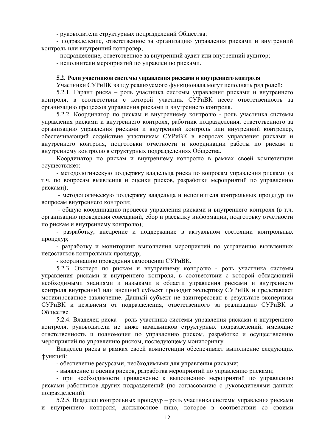- руководители структурных подразделений Общества;

- подразделение, ответственное за организацию управления рисками и внутренний контроль или внутренний контролер;

- подразделение, ответственное за внутренний аудит или внутренний аудитор;

<span id="page-11-0"></span>- исполнители мероприятий по управлению рисками.

### 5.2. Роли участников системы управления рисками и внутреннего контроля

Участники СУРиВК ввиду реализуемого функционала могут исполнять ряд ролей:

5.2.1. Гарант риска – роль участника системы управления рисками и внутреннего контроля, в соответствии с которой участник СУРиВК несет ответственность за организацию процессов управления рисками и внутреннего контроля.

5.2.2. Координатор по рискам и внутреннему контролю - роль участника системы управления рисками и внутреннего контроля, работник подразделения, ответственного за организацию управления рисками и внутренний контроль или внутренний контролер, обеспечивающий содействие участникам СУРиВК в вопросах управления рисками и внутреннего контроля, подготовки отчетности и координации работы по рискам и внутреннему контролю в структурных подразделениях Общества.

Координатор по рискам и внутреннему контролю в рамках своей компетенции осушествляет:

- методологическую поддержку владельца риска по вопросам управления рисками (в т.ч. по вопросам выявления и оценки рисков, разработки мероприятий по управлению рисками);

- методологическую поддержку владельца и исполнителя контрольных процедур по вопросам внутреннего контроля:

- общую координацию процесса управления рисками и внутреннего контроля (в т.ч. организацию проведения совещаний, сбор и рассылку информации, подготовку отчетности по рискам и внутреннему контролю);

- разработку, внедрение и поддержание в актуальном состоянии контрольных процедур;

- разработку и мониторинг выполнения мероприятий по устранению выявленных недостатков контрольных процедур;

- координацию проведения самооценки СУРиВК.

5.2.3. Эксперт по рискам и внутреннему контролю - роль участника системы управления рисками и внутреннего контроля, в соответствии с которой обладающий необходимыми знаниями и навыками в области управления рисками и внутреннего контроля внутренний или внешний субъект проволит экспертизу СУРиВК и представляет мотивированное заключение. Данный субъект не заинтересован в результате экспертизы СУРиВК и независим от подразделения, ответственного за реализацию СУРиВК в Обществе.

5.2.4. Владелец риска – роль участника системы управления рисками и внутреннего контроля, руководители не ниже начальников структурных подразделений, имеющие ответственность и полномочия по управлению риском, разработке и осуществлению мероприятий по управлению риском, последующему мониторингу.

Владелец риска в рамках своей компетенции обеспечивает выполнение следующих функций:

- обеспечение ресурсами, необходимыми для управления рисками;

- выявление и оценка рисков, разработка мероприятий по управлению рисками;

- при необходимости привлечение к выполнению мероприятий по управлению рисками работников других подразделений (по согласованию с руководителями данных подразделений).

5.2.5. Владелец контрольных процедур – роль участника системы управления рисками и внутреннего контроля, должностное лицо, которое в соответствии со своими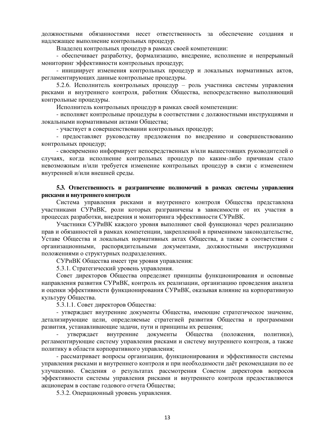должностными обязанностями несет ответственность за обеспечение создания и надлежащее выполнение контрольных процедур.

Владелец контрольных процедур в рамках своей компетенции:

- обеспечивает разработку, формализацию, внедрение, исполнение и непрерывный мониторинг эффективности контрольных процедур;

- инициирует изменения контрольных процедур и локальных нормативных актов, регламентирующих данные контрольные процедуры.

5.2.6. Исполнитель контрольных процедур – роль участника системы управления рисками и внутреннего контроля, работник Общества, непосредственно выполняющий контрольные процедуры.

Исполнитель контрольных процедур в рамках своей компетенции:

- исполняет контрольные процедуры в соответствии с должностными инструкциями и локальными нормативными актами Общества;

- участвует в совершенствовании контрольных процедур;

- предоставляет руководству предложения по внедрению и совершенствованию контрольных процедур;

- своевременно информирует непосредственных и/или вышестоящих руководителей о случаях, когда исполнение контрольных процедур по каким-либо причинам стало невозможным и/или требуется изменение контрольных процедур в связи с изменением внутренней и/или внешней среды.

#### <span id="page-12-0"></span>5.3. Ответственность и разграничение полномочий в рамках системы управления **исками и внутреннего контроля**

Система управления рисками и внутреннего контроля Общества представлена участниками СУРиВК, роли которых разграничены в зависимости от их участия в процессах разработки, внедрения и мониторинга эффективности СУРиВК.

Участники СУРиВК каждого уровня выполняют свой функционал через реализацию прав и обязанностей в рамках компетенции, закрепленной в применимом законодательстве, Уставе Общества и локальных нормативных актах Общества, а также в соответствии с организационными, распорядительными документами, должностными инструкциями положениями о структурных подразделениях.

СУРиВК Общества имеет три уровня управления:

5.3.1. Стратегический уровень управления.

Совет директоров Общества определяет принципы функционирования и основные направления развития СУРиВК, контроль их реализации, организацию проведения анализа и оценки эффективности функционирования СУРиВК, оказывая влияние на корпоративную культуру Общества.

5.3.1.1. Совет директоров Общества:

- утверждает внутренние документы Общества, имеющие стратегическое значение, детализирующие цели, определяемые стратегией развития Общества и программами развития, устанавливающие задачи, пути и принципы их решения;

утверждает внутренние документы Общества (положения, политики), регламентирующие систему управления рисками и систему внутреннего контроля, а также политику в области корпоративного управления;

- рассматривает вопросы организации, функционирования и эффективности системы управления рисками и внутреннего контроля и при необходимости даёт рекомендации по ее улучшению. Сведения о результатах рассмотрения Советом директоров вопросов эффективности системы управления рисками и внутреннего контроля предоставляются акционерам в составе годового отчета Общества;

5.3.2. Операционный уровень управления.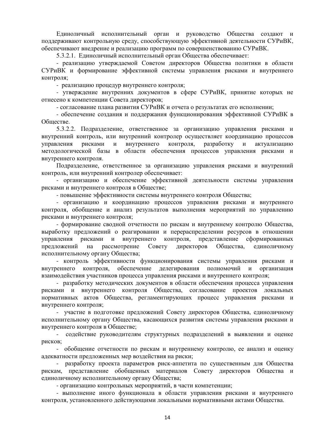Единоличный исполнительный орган и руководство Общества создают и поддерживают контрольную среду, способствующую эффективной деятельности СУРиВК, обеспечивают внедрение и реализацию программ по совершенствованию СУРиВК.

5.3.2.1. Единоличный исполнительный орган Общества обеспечивает:

- реализацию утверждаемой Советом директоров Общества политики в области СУРиВК и формирование эффективной системы управления рисками и внутреннего контроля:

- реализацию процедур внутреннего контроля;

- утверждение внутренних документов в сфере СУРиВК, принятие которых не отнесено к компетенции Совета директоров;

- согласование плана развития СУРиВК и отчета о результатах его исполнении;

- обеспечение создания и поддержания функционирования эффективной СУРиВК в Обществе.

5.3.2.2. Подразделение, ответственное за организацию управления рисками и внутренний контроль, или внутренний контролер осуществляет координацию процессов управления рисками и внутреннего контроля, разработку и актуализацию методологической базы в области обеспечения процессов управления рисками и внутреннего контроля.

Подразделение, ответственное за организацию управления рисками и внутренний контроль, или внутренний контролер обеспечивает:

- организацию и обеспечение эффективной деятельности системы управления рисками и внутреннего контроля в Обществе;

- повышение эффективности системы внутреннего контроля Общества;

- организацию и координацию процессов управления рисками и внутреннего контроля, обобщение и анализ результатов выполнения мероприятий по управлению рисками и внутреннего контроля;

- формирование сводной отчетности по рискам и внутреннему контролю Общества, выработку предложений о реагировании и перераспределении ресурсов в отношении управления рисками и внутреннего контроля, представление сформированных предложений на рассмотрение Совету директоров Общества, единоличному исполнительному органу Общества;

- контроль эффективности функционирования системы управления рисками и внутреннего контроля, обеспечение делегирования полномочий и организация взаимодействия участников процесса управления рисками и внутреннего контроля;

- разработку методических документов в области обеспечения процесса управления рисками и внутреннего контроля Обшества, согласование проектов локальных нормативных актов Общества, регламентирующих процесс управления рисками и внутреннего контроля;

участие в подготовке предложений Совету директоров Общества, единоличному исполнительному органу Общества, касающихся развития системы управления рисками и внутреннего контроля в Обществе;

содействие руководителям структурных подразделений в выявлении и оценке рисков;

обобщение отчетности по рискам и внутреннему контролю, ее анализ и оценку адекватности предложенных мер воздействия на риски;

- разработку проекта параметров риск-аппетита по существенным для Общества рискам, представление обобщенных материалов Совету директоров Общества и единоличному исполнительному органу Общества;

- организацию контрольных мероприятий, в части компетенции;

- выполнение иного функционала в области управления рисками и внутреннего контроля, установленного действующими локальными нормативными актами Общества.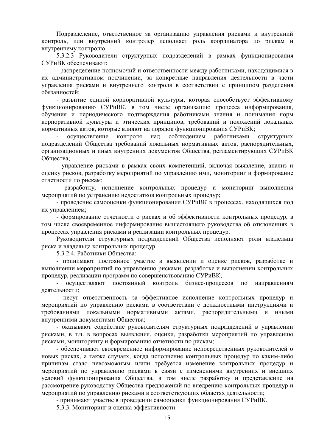Подразделение, ответственное за организацию управления рисками и внутренний контроль, или внутренний контролер исполняет роль координатора по рискам и внутреннему контролю.

5.3.2.3 Руководители структурных подразделений в рамках функционирования СУРиВК обеспечивают:

- распределение полномочий и ответственности между работниками, находящимися в их административном подчинении, за конкретные направления деятельности в части управления рисками и внутреннего контроля в соответствии с принципом разделения обязанностей:

- развитие единой корпоративной культуры, которая способствует эффективному функционированию СУРиВК, в том числе организацию процесса информирования, обучения и периолического полтвержления работниками знания и понимания норм корпоративной культуры и этических принципов, требований и положений локальных нормативных актов, которые влияют на порядок функционирования СУРиВК;

осуществление контроля над соблюдением работниками структурных подразделений Общества требований локальных нормативных актов, распорядительных, организационных и иных внутренних документов Общества, регламентирующих СУРиВК Общества;

- управление рисками в рамках своих компетенций, включая выявление, анализ и оценку рисков, разработку мероприятий по управлению ими, мониторинг и формирование отчетности по рискам;

разработку, исполнение контрольных процедур и мониторинг выполнения мероприятий по устранению недостатков контрольных процедур;

- провеление самооценки функционирования СУРиВК в процессах, нахоляшихся под их управлением;

- формирование отчетности о рисках и об эффективности контрольных процедур, в том числе своевременное информирование вышестоящего руководства об отклонениях в процессах управления рисками и реализации контрольных процедур.

Руководители структурных подразделений Общества исполняют роли владельца риска и владельца контрольных процедур.

5.3.2.4. Работники Общества:

- принимают постоянное участие в выявлении и оценке рисков, разработке и выполнении мероприятий по управлению рисками, разработке и выполнении контрольных процедур, реализации программ по совершенствованию СУРиВК;

осуществляют постоянный контроль бизнес-процессов по направлениям деятельности:

- несут ответственность за эффективное исполнение контрольных процедур и мероприятий по управлению рисками в соответствии с должностными инструкциями и требованиями локальными нормативными актами, распорядительными и иными внутренними документами Общества;

- оказывают содействие руководителям структурных подразделений в управлении рисками, в т.ч. в вопросах выявления, оценки, разработки мероприятий по управлению рисками, мониторингу и формированию отчетности по рискам;

- обеспечивают своевременное информирование непосредственных руководителей о новых рисках, а также случаях, когда исполнение контрольных процедур по каким-либо причинам стало невозможным и/или требуется изменение контрольных процедур и мероприятий по управлению рисками в связи с изменениями внутренних и внешних условий функционирования Общества, в том числе разработку и представление на рассмотрение руководству Общества предложений по внедрению контрольных процедур и мероприятий по управлению рисками в соответствующих областях деятельности;

- принимают участие в проведении самооценки функционирования СУРиВК.

5.3.3. Мониторинг и оценка эффективности.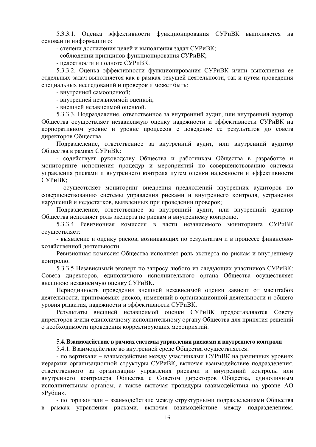5.3.3.1. Оценка эффективности функционирования СУРиВК выполняется на основании информации о:

- степени достижения целей и выполнения задач СУРиВК;

- соблюдении принципов функционирования СУРиВК;

- целостности и полноте СУРиВК.

5.3.3.2. Оценка эффективности функционирования СУРиВК и/или выполнения ее отдельных задач выполняется как в рамках текущей деятельности, так и путем проведения специальных исследований и проверок и может быть:

- внутренней самооценкой;

- внутренней независимой оценкой;

- внешней независимой оценкой.

5.3.3.3. Подразделение, ответственное за внутренний аудит, или внутренний аудитор Общества осуществляет независимую оценку надежности и эффективности СУРиВК на корпоративном уровне и уровне процессов с доведение ее результатов до совета директоров Общества.

Подразделение, ответственное за внутренний аудит, или внутренний аудитор Общества в рамках СУРиВК:

- содействует руководству Общества и работникам Общества в разработке и мониторинге исполнения процедур и мероприятий по совершенствованию системы управления рисками и внутреннего контроля путем оценки надежности и эффективности СУРиВК:

- осуществляет мониторинг внедрения предложений внутренних аудиторов по совершенствованию системы управления рисками и внутреннего контроля, устранения нарушений и недостатков, выявленных при проведении проверок;

Подразделение, ответственное за внутренний аудит, или внутренний аудитор Общества исполняет роль эксперта по рискам и внутреннему контролю.

5.3.3.4 Ревизионная комиссия в части независимого мониторинга СУРиВК осуществляет:

- выявление и оценку рисков, возникающих по результатам и в процессе финансовохозяйственной деятельности.

Ревизионная комиссия Общества исполняет роль эксперта по рискам и внутреннему контролю.

5.3.3.5 Независимый эксперт по запросу любого из следующих участников СУРиВК: Совета директоров, единоличного исполнительного органа Общества осуществляет внешнюю независимую оценку СУРиВК.

Периодичность проведения внешней независимой оценки зависит от масштабов деятельности, принимаемых рисков, изменений в организационной деятельности и общего уровня развития, надежности и эффективности СУРиВК.

Результаты внешней независимой оценки СУРиВК предоставляются Совету директоров и/или единоличному исполнительному органу Общества для принятия решений о необходимости проведения корректирующих мероприятий.

### <span id="page-15-0"></span>5.4. Взаимодействие в рамках системы управления рисками и внутреннего контроля

5.4.1. Взаимодействие во внутренней среде Общества осуществляется:

- по вертикали – взаимодействие между участниками СУРиВК на различных уровнях иерархии организационной структуры СУРиВК, включая взаимодействие подразделения, ответственного за организацию управления рисками и внутренний контроль, или внутреннего контролера Общества с Советом директоров Общества, единоличным исполнительным органом, а также включая процедуры взаимодействия на уровне АО «Рубин».

- по горизонтали – взаимодействие между структурными подразделениями Общества в рамках управления рисками, включая взаимодействие между подразделением,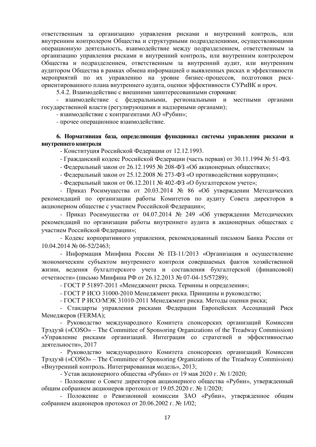ответственным за организацию управления рисками и внутренний контроль, или внутренним контролером Общества и структурными подразделениями, осуществляющими операционную деятельность, взаимодействие между подразделением, ответственным за организацию управления рисками и внутренний контроль, или внутренним контролером Общества и подразделением, ответственным за внутренний аудит, или внутренним аудитором Общества в рамках обмена информацией о выявленных рисках и эффективности мероприятий по их управлению на уровне бизнес-процессов, подготовки рискориентированного плана внутреннего аудита, оценки эффективности СУРиВК и проч.

5.4.2. Взаимодействие с внешними заинтересованными сторонами:

- взаимодействие с федеральными, региональными и местными органами государственной власти (регулирующими и надзорными органами);

- взаимолействие с контрагентами АО «Рубин»;

- прочее операционное взаимодействие.

## <span id="page-16-0"></span>**6. Нормативная база, определяющая функционал системы управления рисками и ВНУТРЕННЕГО КОНТРОЛЯ**

- Конституция Российской Федерации от 12.12.1993.

- Гражданский кодекс Российской Федерации (часть первая) от 30.11.1994 № 51-ФЗ.

- Федеральный закон от 26.12.1995 № 208-ФЗ «Об акционерных обществах»;
- Федеральный закон от 25.12.2008 № 273-ФЗ «О противодействии коррупции»;

- Федеральный закон от 06.12.2011 № 402-ФЗ «О бухгалтерском учете»;

- Приказ Росимущества от 20.03.2014 № 86 «Об утверждении Методических рекомендаций по организации работы Комитетов по аудиту Совета директоров в акционерном обществе с участием Российской Федерации»;

- Приказ Росимущества от 04.07.2014 № 249 «Об утверждении Методических рекомендаций по организации работы внутреннего аудита в акционерных обществах с vчастием Российской Федерации»:

- Кодекс корпоративного управления, рекомендованный письмом Банка России от 10.04.2014 № 06-52/2463;

- Информация Минфина России № ПЗ-11/2013 «Организация и осуществление экономическим субъектом внутреннего контроля совершаемых фактов хозяйственной жизни, ведения бухгалтерского учета и составления бухгалтерской (финансовой) отчетности» (письмо Минфина РФ от 26.12.2013 № 07-04-15/57289);

- ГОСТ Р 51897-2011 «Менеджмент риска. Термины и определения»;

- ГОСТ Р ИСО 31000-2010 Менеджмент риска. Принципы и руководство:

- ГОСТ Р ИСО/МЭК 31010-2011 Менеджмент риска. Методы оценки риска;

- Стандарты управления рисками Федерации Европейских Ассоциаций Риск Менеджеров (FERMA);

- Руководство международного Комитета спонсорских организаций Комиссии Ɍɪɷɞɭɷɣ («COSO» – The Committee of Sponsoring Organizations of the Treadway Commission) «Управление рисками организаций. Интеграция со стратегией и эффективностью деятельности», 2017

- Руководство международного Комитета спонсорских организаций Комиссии Ɍɪɷɞɭɷɣ («COSO» – The Committee of Sponsoring Organizations of the Treadway Commission) «Внутренний контроль. Интегрированная модель», 2013;

- Устав акционерного общества «Рубин» от 19 мая 2020 г. № 1/2020;

- Положение о Совете директоров акционерного общества «Рубин», утвержденный общим собранием акционеров протокол от 19.05.2020 г. № 1/2020:

- Положение о Ревизионной комиссии ЗАО «Рубин», утвержденное общим собранием акционеров протокол от 20.06.2002 г. № 1/02;